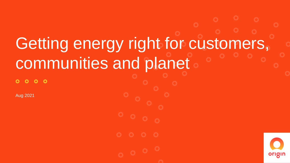## Getting energy right for customers, communities and planet

 $\circ$   $\circ$  $\bullet$ 

Aug 2021

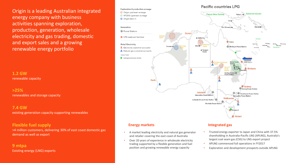Origin is a leading Australian integrated energy company with business activities spanning exploration, production, generation, wholesale electricity and gas trading, domestic and export sales and a growing renewable energy portfolio

**1.2 GW**  renewable capacity

**>25%**  renewables and storage capacity

**7.4 GW**  existing generation capacity supporting renewables

#### **Flexible fuel supply**

>4 million customers, delivering 30% of east coast domestic gas demand as well as export

**9 mtpa** Existing energy (LNG) exports



- A market leading electricity and natural gas generator and retailer covering the east coast of Australia
- Over 20 years of experience in wholesale electricity trading supported by a flexible generation and fuel position and growing renewable energy capacity

#### **Energy markets Integrated gas**

- Trusted energy exporter to Japan and China with 37.5% shareholding in Australia-Pacific LNG (APLNG), Australia's largest coal seam gas (CSG) to LNG export project
- APLNG commenced full operations in FY2017
- Exploration and development prospects outside APLNG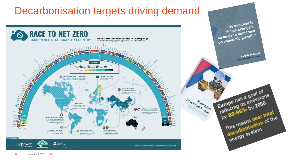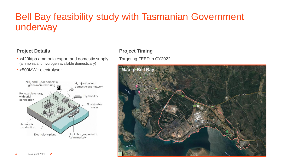### Bell Bay feasibility study with Tasmanian Government underway

#### **Project Details**

- >420ktpa ammonia export and domestic supply (ammonia and hydrogen available domestically)
- >500MW+ electrolyser



### **Project Timing**

#### Targeting FEED in CY2022

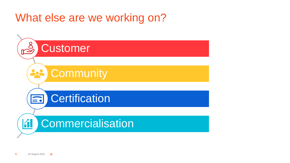## What else are we working on?

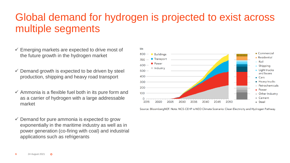## Global demand for hydrogen is projected to exist across multiple segments

- $\checkmark$  Emerging markets are expected to drive most of the future growth in the hydrogen market
- $\checkmark$  Demand growth is expected to be driven by steel production, shipping and heavy road transport
- $\checkmark$  Ammonia is a flexible fuel both in its pure form and as a carrier of hydrogen with a large addressable market
- $\checkmark$  Demand for pure ammonia is expected to grow exponentially in the maritime industry as well as in power generation (co-firing with coal) and industrial applications such as refrigerants



Source: BloombergNEF. Note: NCS-CEHP is NEO Climate Scenario: Clean Electricity and Hydrogen Pathway.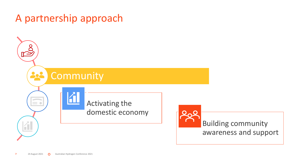## A partnership approach